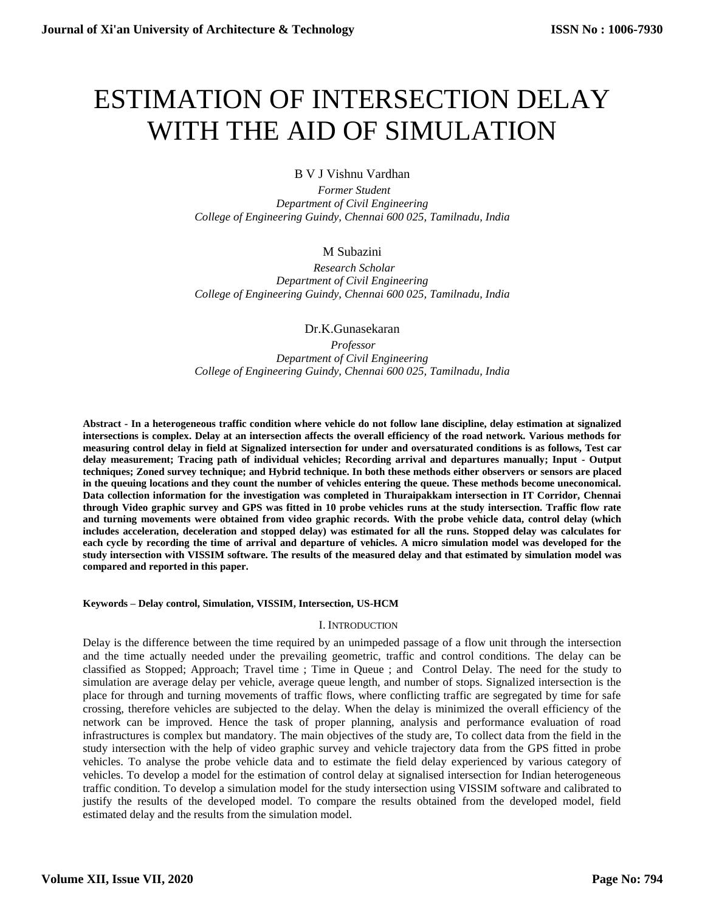# ESTIMATION OF INTERSECTION DELAY WITH THE AID OF SIMULATION

B V J Vishnu Vardhan

 *Former Student Department of Civil Engineering College of Engineering Guindy, Chennai 600 025, Tamilnadu, India*

# M Subazini

 *Research Scholar Department of Civil Engineering College of Engineering Guindy, Chennai 600 025, Tamilnadu, India*

Dr.K.Gunasekaran

*Professor Department of Civil Engineering College of Engineering Guindy, Chennai 600 025, Tamilnadu, India*

**Abstract - In a heterogeneous traffic condition where vehicle do not follow lane discipline, delay estimation at signalized intersections is complex. Delay at an intersection affects the overall efficiency of the road network. Various methods for measuring control delay in field at Signalized intersection for under and oversaturated conditions is as follows, Test car delay measurement; Tracing path of individual vehicles; Recording arrival and departures manually; Input - Output techniques; Zoned survey technique; and Hybrid technique. In both these methods either observers or sensors are placed in the queuing locations and they count the number of vehicles entering the queue. These methods become uneconomical. Data collection information for the investigation was completed in Thuraipakkam intersection in IT Corridor, Chennai through Video graphic survey and GPS was fitted in 10 probe vehicles runs at the study intersection. Traffic flow rate and turning movements were obtained from video graphic records. With the probe vehicle data, control delay (which includes acceleration, deceleration and stopped delay) was estimated for all the runs. Stopped delay was calculates for each cycle by recording the time of arrival and departure of vehicles. A micro simulation model was developed for the study intersection with VISSIM software. The results of the measured delay and that estimated by simulation model was compared and reported in this paper.**

## **Keywords – Delay control, Simulation, VISSIM, Intersection, US-HCM**

## I. INTRODUCTION

Delay is the difference between the time required by an unimpeded passage of a flow unit through the intersection and the time actually needed under the prevailing geometric, traffic and control conditions. The delay can be classified as Stopped; Approach; Travel time ; Time in Queue ; and Control Delay. The need for the study to simulation are average delay per vehicle, average queue length, and number of stops. Signalized intersection is the place for through and turning movements of traffic flows, where conflicting traffic are segregated by time for safe crossing, therefore vehicles are subjected to the delay. When the delay is minimized the overall efficiency of the network can be improved. Hence the task of proper planning, analysis and performance evaluation of road infrastructures is complex but mandatory. The main objectives of the study are, To collect data from the field in the study intersection with the help of video graphic survey and vehicle trajectory data from the GPS fitted in probe vehicles. To analyse the probe vehicle data and to estimate the field delay experienced by various category of vehicles. To develop a model for the estimation of control delay at signalised intersection for Indian heterogeneous traffic condition. To develop a simulation model for the study intersection using VISSIM software and calibrated to justify the results of the developed model. To compare the results obtained from the developed model, field estimated delay and the results from the simulation model.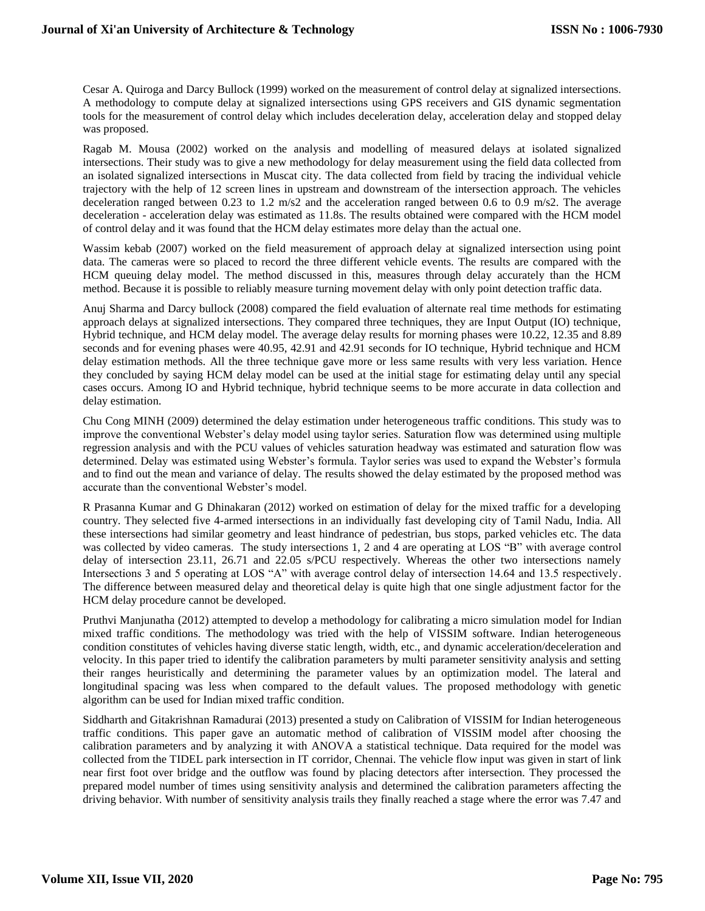Cesar A. Quiroga and Darcy Bullock (1999) worked on the measurement of control delay at signalized intersections. A methodology to compute delay at signalized intersections using GPS receivers and GIS dynamic segmentation tools for the measurement of control delay which includes deceleration delay, acceleration delay and stopped delay was proposed.

Ragab M. Mousa (2002) worked on the analysis and modelling of measured delays at isolated signalized intersections. Their study was to give a new methodology for delay measurement using the field data collected from an isolated signalized intersections in Muscat city. The data collected from field by tracing the individual vehicle trajectory with the help of 12 screen lines in upstream and downstream of the intersection approach. The vehicles deceleration ranged between 0.23 to 1.2 m/s2 and the acceleration ranged between 0.6 to 0.9 m/s2. The average deceleration - acceleration delay was estimated as 11.8s. The results obtained were compared with the HCM model of control delay and it was found that the HCM delay estimates more delay than the actual one.

Wassim kebab (2007) worked on the field measurement of approach delay at signalized intersection using point data. The cameras were so placed to record the three different vehicle events. The results are compared with the HCM queuing delay model. The method discussed in this, measures through delay accurately than the HCM method. Because it is possible to reliably measure turning movement delay with only point detection traffic data.

Anuj Sharma and Darcy bullock (2008) compared the field evaluation of alternate real time methods for estimating approach delays at signalized intersections. They compared three techniques, they are Input Output (IO) technique, Hybrid technique, and HCM delay model. The average delay results for morning phases were 10.22, 12.35 and 8.89 seconds and for evening phases were 40.95, 42.91 and 42.91 seconds for IO technique, Hybrid technique and HCM delay estimation methods. All the three technique gave more or less same results with very less variation. Hence they concluded by saying HCM delay model can be used at the initial stage for estimating delay until any special cases occurs. Among IO and Hybrid technique, hybrid technique seems to be more accurate in data collection and delay estimation.

Chu Cong MINH (2009) determined the delay estimation under heterogeneous traffic conditions. This study was to improve the conventional Webster's delay model using taylor series. Saturation flow was determined using multiple regression analysis and with the PCU values of vehicles saturation headway was estimated and saturation flow was determined. Delay was estimated using Webster's formula. Taylor series was used to expand the Webster's formula and to find out the mean and variance of delay. The results showed the delay estimated by the proposed method was accurate than the conventional Webster's model.

R Prasanna Kumar and G Dhinakaran (2012) worked on estimation of delay for the mixed traffic for a developing country. They selected five 4-armed intersections in an individually fast developing city of Tamil Nadu, India. All these intersections had similar geometry and least hindrance of pedestrian, bus stops, parked vehicles etc. The data was collected by video cameras. The study intersections 1, 2 and 4 are operating at LOS "B" with average control delay of intersection 23.11, 26.71 and 22.05 s/PCU respectively. Whereas the other two intersections namely Intersections 3 and 5 operating at LOS "A" with average control delay of intersection 14.64 and 13.5 respectively. The difference between measured delay and theoretical delay is quite high that one single adjustment factor for the HCM delay procedure cannot be developed.

Pruthvi Manjunatha (2012) attempted to develop a methodology for calibrating a micro simulation model for Indian mixed traffic conditions. The methodology was tried with the help of VISSIM software. Indian heterogeneous condition constitutes of vehicles having diverse static length, width, etc., and dynamic acceleration/deceleration and velocity. In this paper tried to identify the calibration parameters by multi parameter sensitivity analysis and setting their ranges heuristically and determining the parameter values by an optimization model. The lateral and longitudinal spacing was less when compared to the default values. The proposed methodology with genetic algorithm can be used for Indian mixed traffic condition.

Siddharth and Gitakrishnan Ramadurai (2013) presented a study on Calibration of VISSIM for Indian heterogeneous traffic conditions. This paper gave an automatic method of calibration of VISSIM model after choosing the calibration parameters and by analyzing it with ANOVA a statistical technique. Data required for the model was collected from the TIDEL park intersection in IT corridor, Chennai. The vehicle flow input was given in start of link near first foot over bridge and the outflow was found by placing detectors after intersection. They processed the prepared model number of times using sensitivity analysis and determined the calibration parameters affecting the driving behavior. With number of sensitivity analysis trails they finally reached a stage where the error was 7.47 and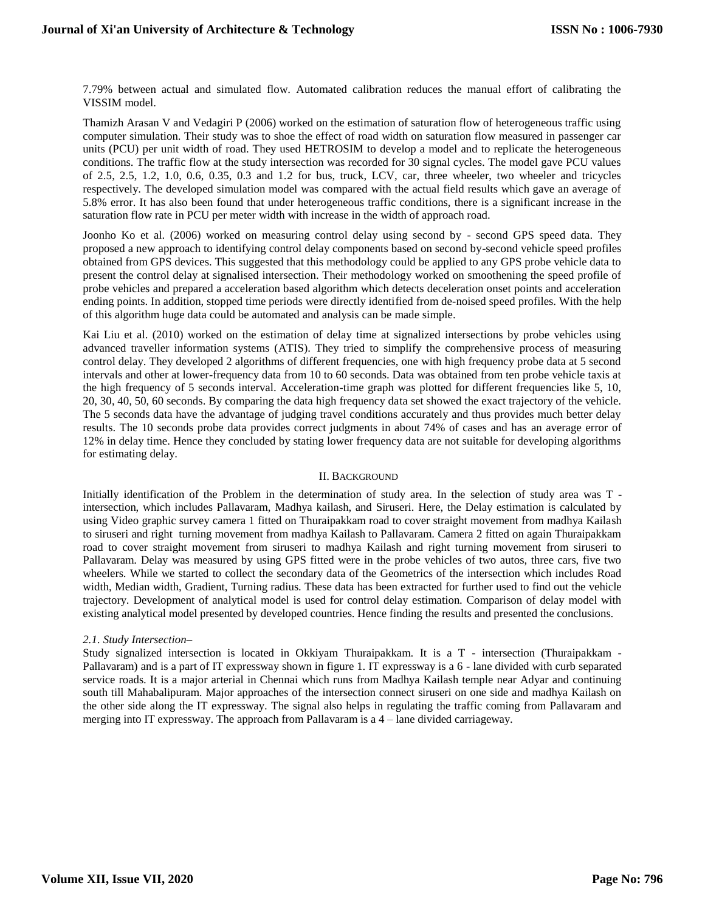7.79% between actual and simulated flow. Automated calibration reduces the manual effort of calibrating the VISSIM model.

Thamizh Arasan V and Vedagiri P (2006) worked on the estimation of saturation flow of heterogeneous traffic using computer simulation. Their study was to shoe the effect of road width on saturation flow measured in passenger car units (PCU) per unit width of road. They used HETROSIM to develop a model and to replicate the heterogeneous conditions. The traffic flow at the study intersection was recorded for 30 signal cycles. The model gave PCU values of 2.5, 2.5, 1.2, 1.0, 0.6, 0.35, 0.3 and 1.2 for bus, truck, LCV, car, three wheeler, two wheeler and tricycles respectively. The developed simulation model was compared with the actual field results which gave an average of 5.8% error. It has also been found that under heterogeneous traffic conditions, there is a significant increase in the saturation flow rate in PCU per meter width with increase in the width of approach road.

Joonho Ko et al. (2006) worked on measuring control delay using second by - second GPS speed data. They proposed a new approach to identifying control delay components based on second by-second vehicle speed profiles obtained from GPS devices. This suggested that this methodology could be applied to any GPS probe vehicle data to present the control delay at signalised intersection. Their methodology worked on smoothening the speed profile of probe vehicles and prepared a acceleration based algorithm which detects deceleration onset points and acceleration ending points. In addition, stopped time periods were directly identified from de-noised speed profiles. With the help of this algorithm huge data could be automated and analysis can be made simple.

Kai Liu et al. (2010) worked on the estimation of delay time at signalized intersections by probe vehicles using advanced traveller information systems (ATIS). They tried to simplify the comprehensive process of measuring control delay. They developed 2 algorithms of different frequencies, one with high frequency probe data at 5 second intervals and other at lower-frequency data from 10 to 60 seconds. Data was obtained from ten probe vehicle taxis at the high frequency of 5 seconds interval. Acceleration-time graph was plotted for different frequencies like 5, 10, 20, 30, 40, 50, 60 seconds. By comparing the data high frequency data set showed the exact trajectory of the vehicle. The 5 seconds data have the advantage of judging travel conditions accurately and thus provides much better delay results. The 10 seconds probe data provides correct judgments in about 74% of cases and has an average error of 12% in delay time. Hence they concluded by stating lower frequency data are not suitable for developing algorithms for estimating delay.

## II. BACKGROUND

Initially identification of the Problem in the determination of study area. In the selection of study area was T intersection, which includes Pallavaram, Madhya kailash, and Siruseri. Here, the Delay estimation is calculated by using Video graphic survey camera 1 fitted on Thuraipakkam road to cover straight movement from madhya Kailash to siruseri and right turning movement from madhya Kailash to Pallavaram. Camera 2 fitted on again Thuraipakkam road to cover straight movement from siruseri to madhya Kailash and right turning movement from siruseri to Pallavaram. Delay was measured by using GPS fitted were in the probe vehicles of two autos, three cars, five two wheelers. While we started to collect the secondary data of the Geometrics of the intersection which includes Road width, Median width, Gradient, Turning radius. These data has been extracted for further used to find out the vehicle trajectory. Development of analytical model is used for control delay estimation. Comparison of delay model with existing analytical model presented by developed countries. Hence finding the results and presented the conclusions.

## *2.1. Study Intersection–*

Study signalized intersection is located in Okkiyam Thuraipakkam. It is a T - intersection (Thuraipakkam - Pallavaram) and is a part of IT expressway shown in figure 1. IT expressway is a 6 - lane divided with curb separated service roads. It is a major arterial in Chennai which runs from Madhya Kailash temple near Adyar and continuing south till Mahabalipuram. Major approaches of the intersection connect siruseri on one side and madhya Kailash on the other side along the IT expressway. The signal also helps in regulating the traffic coming from Pallavaram and merging into IT expressway. The approach from Pallavaram is a 4 – lane divided carriageway.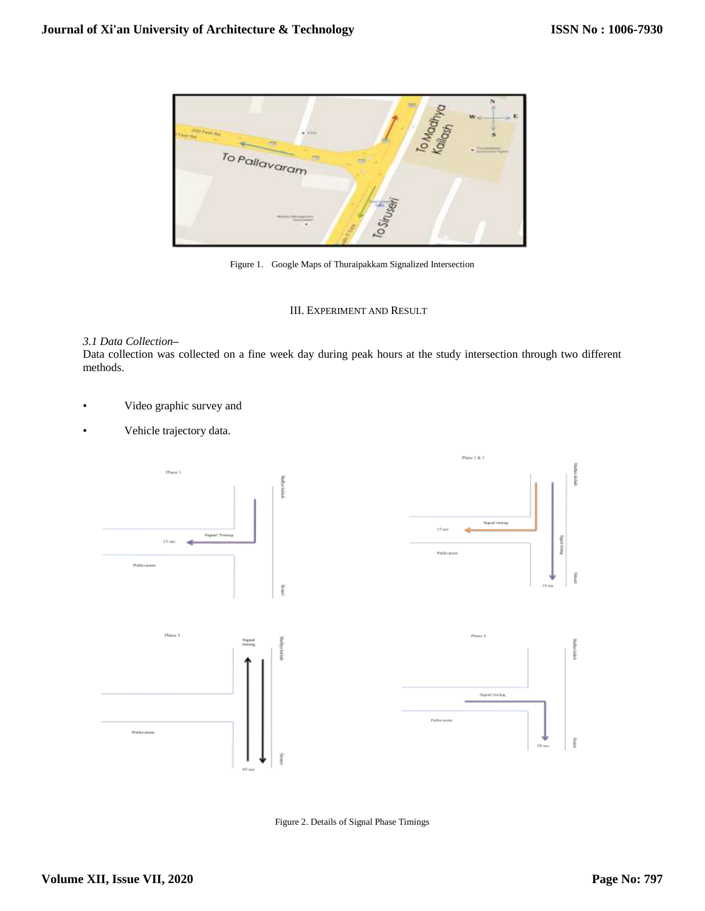

Figure 1. Google Maps of Thuraipakkam Signalized Intersection

# III. EXPERIMENT AND RESULT

## *3.1 Data Collection–*

Data collection was collected on a fine week day during peak hours at the study intersection through two different methods.

- Video graphic survey and
- Vehicle trajectory data.



Figure 2. Details of Signal Phase Timings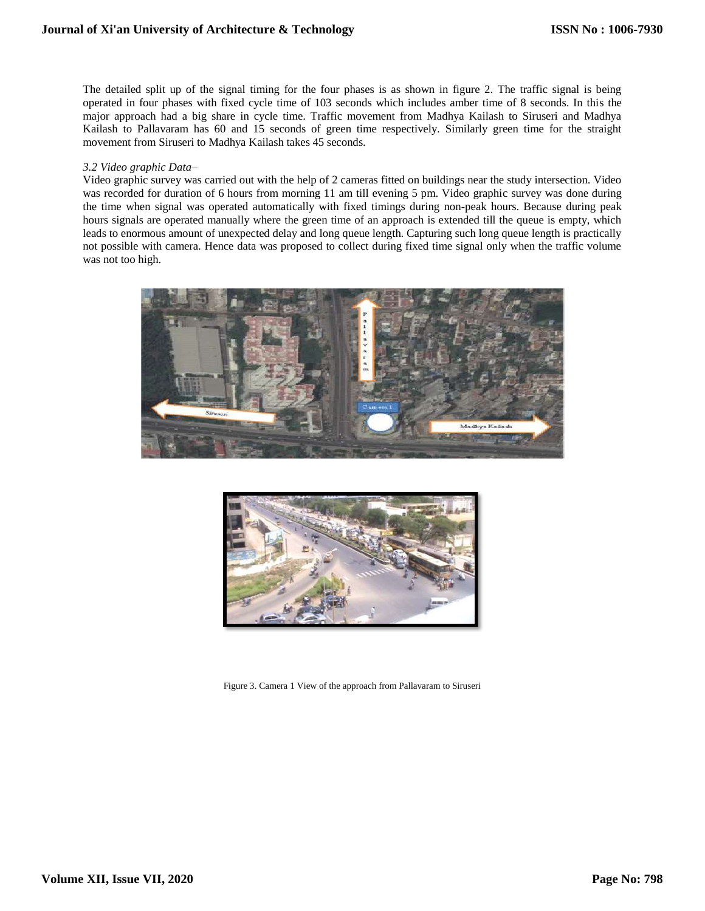The detailed split up of the signal timing for the four phases is as shown in figure 2. The traffic signal is being operated in four phases with fixed cycle time of 103 seconds which includes amber time of 8 seconds. In this the major approach had a big share in cycle time. Traffic movement from Madhya Kailash to Siruseri and Madhya Kailash to Pallavaram has 60 and 15 seconds of green time respectively. Similarly green time for the straight movement from Siruseri to Madhya Kailash takes 45 seconds.

## *3.2 Video graphic Data–*

Video graphic survey was carried out with the help of 2 cameras fitted on buildings near the study intersection. Video was recorded for duration of 6 hours from morning 11 am till evening 5 pm. Video graphic survey was done during the time when signal was operated automatically with fixed timings during non-peak hours. Because during peak hours signals are operated manually where the green time of an approach is extended till the queue is empty, which leads to enormous amount of unexpected delay and long queue length. Capturing such long queue length is practically not possible with camera. Hence data was proposed to collect during fixed time signal only when the traffic volume was not too high.





Figure 3. Camera 1 View of the approach from Pallavaram to Siruseri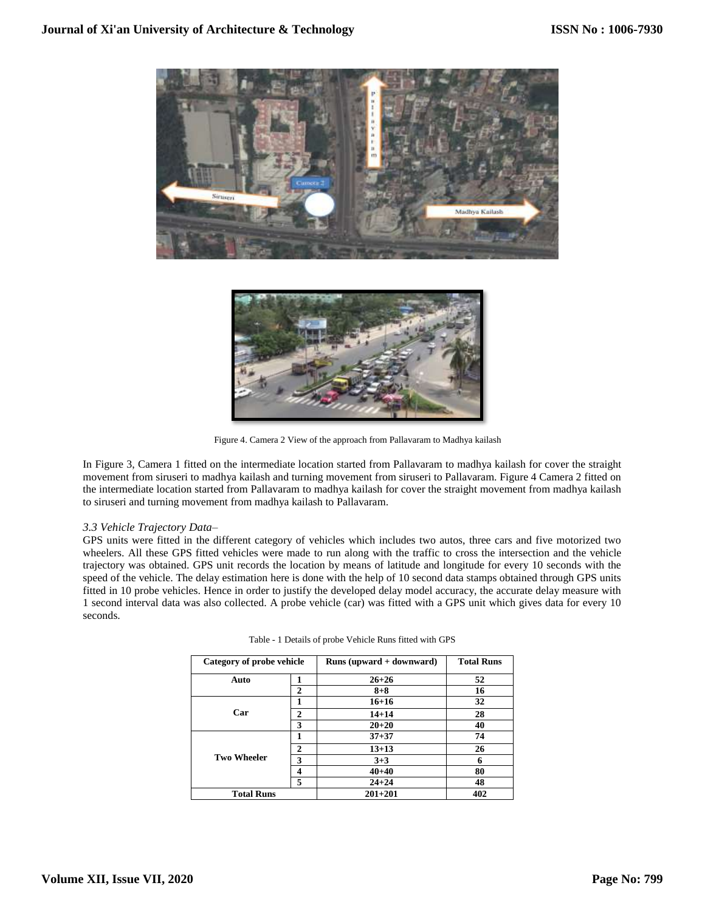



Figure 4. Camera 2 View of the approach from Pallavaram to Madhya kailash

In Figure 3, Camera 1 fitted on the intermediate location started from Pallavaram to madhya kailash for cover the straight movement from siruseri to madhya kailash and turning movement from siruseri to Pallavaram. Figure 4 Camera 2 fitted on the intermediate location started from Pallavaram to madhya kailash for cover the straight movement from madhya kailash to siruseri and turning movement from madhya kailash to Pallavaram.

## *3.3 Vehicle Trajectory Data–*

GPS units were fitted in the different category of vehicles which includes two autos, three cars and five motorized two wheelers. All these GPS fitted vehicles were made to run along with the traffic to cross the intersection and the vehicle trajectory was obtained. GPS unit records the location by means of latitude and longitude for every 10 seconds with the speed of the vehicle. The delay estimation here is done with the help of 10 second data stamps obtained through GPS units fitted in 10 probe vehicles. Hence in order to justify the developed delay model accuracy, the accurate delay measure with 1 second interval data was also collected. A probe vehicle (car) was fitted with a GPS unit which gives data for every 10 seconds.

| Category of probe vehicle |              | Runs (upward $+$ downward) | <b>Total Runs</b> |
|---------------------------|--------------|----------------------------|-------------------|
| Auto                      |              | $26 + 26$                  | 52                |
|                           | 2            | $8 + 8$                    | 16                |
|                           |              | $16 + 16$                  | 32                |
| Car                       | 2            | $14 + 14$                  | 28                |
|                           | 3            | $20 + 20$                  | 40                |
|                           |              | $37 + 37$                  | 74                |
|                           | $\mathbf{2}$ | $13 + 13$                  | 26                |
| <b>Two Wheeler</b>        | 3            | $3 + 3$                    | 6                 |
|                           | 4            | $40 + 40$                  | 80                |
|                           | 5            | $24 + 24$                  | 48                |
| <b>Total Runs</b>         |              | $201 + 201$                | 402               |

|  | Table - 1 Details of probe Vehicle Runs fitted with GPS |  |  |  |
|--|---------------------------------------------------------|--|--|--|
|  |                                                         |  |  |  |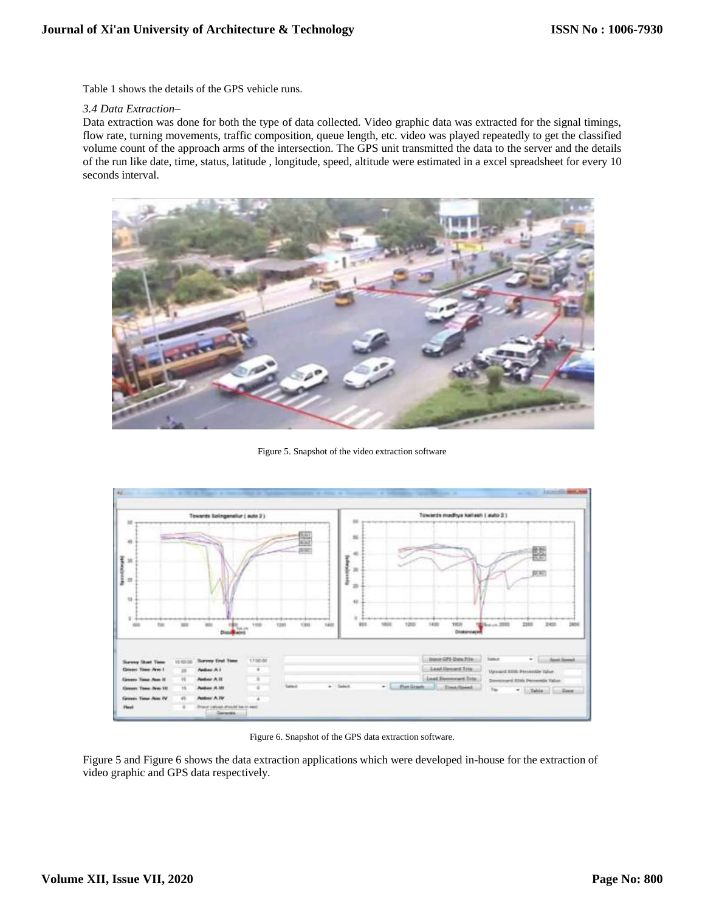Table 1 shows the details of the GPS vehicle runs.

#### *3.4 Data Extraction–*

Data extraction was done for both the type of data collected. Video graphic data was extracted for the signal timings, flow rate, turning movements, traffic composition, queue length, etc. video was played repeatedly to get the classified volume count of the approach arms of the intersection. The GPS unit transmitted the data to the server and the details of the run like date, time, status, latitude , longitude, speed, altitude were estimated in a excel spreadsheet for every 10 seconds interval.



Figure 5. Snapshot of the video extraction software



Figure 6. Snapshot of the GPS data extraction software.

Figure 5 and Figure 6 shows the data extraction applications which were developed in-house for the extraction of video graphic and GPS data respectively.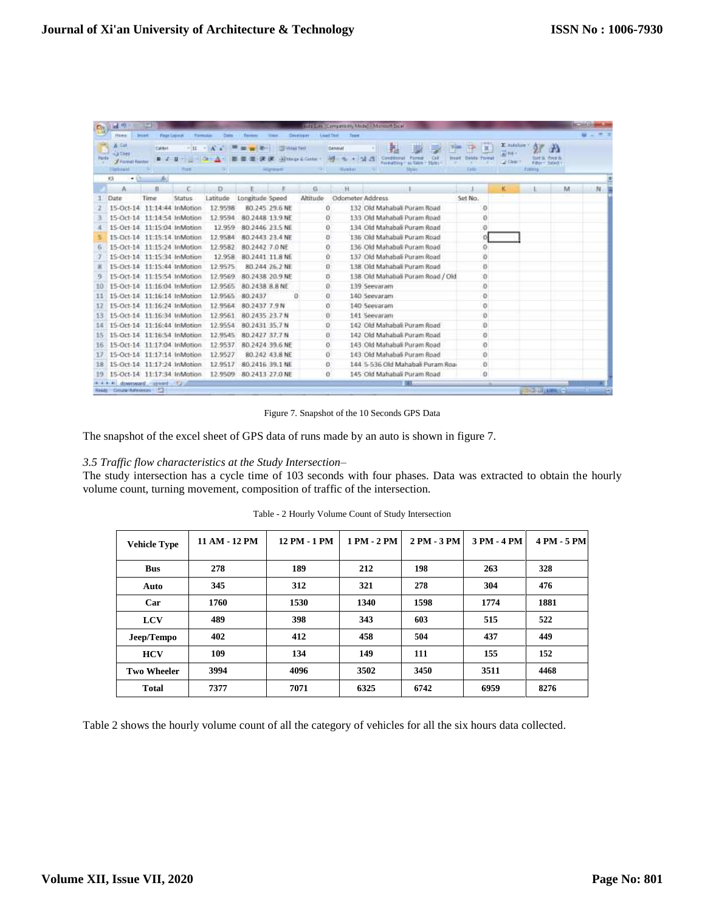| C.    | <b>Ind.</b> int                                 | w                         |                                        |                    |                                       |                      |             |                                 | <b>SUELA CONVENIX Nobel / Morent Suiz</b> |                                    |                                        |              |                          |            |
|-------|-------------------------------------------------|---------------------------|----------------------------------------|--------------------|---------------------------------------|----------------------|-------------|---------------------------------|-------------------------------------------|------------------------------------|----------------------------------------|--------------|--------------------------|------------|
|       | mm                                              | <b>Bunt</b>               | <b>Franklinnen</b><br><b>Torms And</b> | Date               | Tittiten                              | Warr                 | Development | <b>Load Terr</b><br><b>Turn</b> |                                           |                                    |                                        |              |                          |            |
|       | A Cat                                           | Californi                 | $-711$                                 | х<br>$\rightarrow$ | $-40 - 1$<br>$\overline{\phantom{a}}$ | What Tell            |             | General                         | 探                                         |                                    | T.                                     | E sutcher    | m                        |            |
| Parts | AA Cites                                        | $\mathbf{B}$ $\mathbf{A}$ | <u>하테리아</u><br>- 11                    |                    |                                       | 课 课 Althop & Cotte - |             | $-49 - 46 - 128 - 20$           | Canditional                               | <b>Call</b><br>Parmer              | <b>Breast</b><br><b>Delvis: Formet</b> | Week         | Fmd 1                    |            |
|       | <b>3 Firmst Kunster</b><br>15mh na trì          | <b>ULLILL</b>             | Piret.                                 |                    |                                       | <b>Manager</b>       |             | <b>Number</b>                   | <b>Portraition</b>                        | as Table<br><b>States</b><br>Shire | ×<br><b>Tirlic</b>                     | <b>CLINE</b> | Filter Teledi<br>EWANE   |            |
|       | ĸs<br>$-11$                                     | de)                       |                                        |                    |                                       |                      |             |                                 |                                           |                                    |                                        |              |                          |            |
|       | Α                                               | 日                         |                                        | Ð                  |                                       |                      | G           | H                               |                                           |                                    |                                        | 枪            | м                        | N          |
|       | Date                                            | Time                      | Status                                 | Latitude           | Longitude Speed                       |                      | Altitude    | Odometer Address                |                                           |                                    | Set No.                                |              |                          |            |
|       | 15-Oct-14 11:14:44 InMotion                     |                           |                                        | 12.9598            |                                       | 80.245 29:6 NE       |             | ũ                               |                                           | 132 Old Mahahali Puram Road        | Ð                                      |              |                          |            |
|       | 15-Oct-14 11:14:54 InMotion                     |                           |                                        | 12.9594            | 80.2448 13.9 NE                       |                      |             | O.                              |                                           | 133 Old Mahahali Puram Boad        | o                                      |              |                          |            |
|       | 15-Oct-14 11:15:04 InMation                     |                           |                                        | 12.959             | 80.2446 23.5 NE                       |                      |             | α                               |                                           | 134 Old Mahabali Puram Road        | o                                      |              |                          |            |
|       | 15-Oct-14 11:15:14 InMotion                     |                           |                                        | 12.9584            | 80.2443 23.4 NE                       |                      |             | в                               |                                           | 136 Old Mahabali Puram Road        |                                        |              |                          |            |
|       | 15-Oct-14 11:15:24 InMotion                     |                           |                                        | 12.9582            | 80.2442 7:0 NE                        |                      |             | Ō.                              |                                           | 136 Old Mahabali Puram Road        | O.                                     |              |                          |            |
|       | 15-Oct-14 11-15:34 InMation                     |                           |                                        | 12.958             | 80.2441 11.8 NE                       |                      |             | Ŭ.                              |                                           | 137 Old Mahabali Puram Road        | Ö                                      |              |                          |            |
|       | 15-Oct-14 11:15:44 InMotion                     |                           |                                        | 12.9575            |                                       | 80.244 26.2 NE       |             | o                               |                                           | 138 Old Mahabali Puram Road        | o                                      |              |                          |            |
|       | 15-Oct-14 11:15:54 InMation                     |                           |                                        | 12.9569            | 80.2438 20.9 NE                       |                      |             | ñ                               |                                           | 138 Old Mahabali Puram Road / Old  | $\theta$                               |              |                          |            |
| 10    | 15-Oct-14 11:16:04 InMotion                     |                           |                                        | 12.9565            | 80.2438 8.8 NE                        |                      |             | o.                              | 139 Seevaram                              |                                    | o                                      |              |                          |            |
| 11    | 15-Oct-14 11:16:14 InMotion                     |                           |                                        | 12.9565            | 80,2437                               | G                    |             | o                               | 140 Seevaram                              |                                    | $\Omega$<br>68                         |              |                          |            |
| 12    | 15-Oct-14 11:16:24 InMation                     |                           |                                        | 12.9564            | 80.2437 7.9 N                         |                      |             | Õ.                              | 140 Seevaram                              |                                    | o                                      |              |                          |            |
| 13    | 15-Oct-14 11:16:34 InMotion                     |                           |                                        | 12.9561            | 80.2435 23.7 N                        |                      |             | α                               | 141 Seevaram                              |                                    | $\circ$                                |              |                          |            |
| 14    | 15-Oct-14 11:16:44 InMotion                     |                           |                                        | 12.9554            | 80.2431 35.7 N                        |                      |             | Ð                               |                                           | 142 Old Mahabali Puram Road        | 0                                      |              |                          |            |
| 15    | 15-Oct-14 11:16:54 InMotion                     |                           |                                        | 12.9545            | 80.2427 37.7 N                        |                      |             | a.                              |                                           | 142 Old Mahabali Puram Road        | o                                      |              |                          |            |
| 16    | 15-Oct-14 11:17:04 InMotion                     |                           |                                        | 12:9537            | 80.2424.39.6 NE                       |                      |             | O.                              |                                           | 143 Old Mahahali Puram Road        | $\sigma$                               |              |                          |            |
| 12    | 15-Oct-14 11:17:14 InMotion                     |                           |                                        | 12.9527            |                                       | 80.242 43.8 NE       |             | O.                              |                                           | 143 Old Mahabali Puram Road        | $\circ$                                |              |                          |            |
| 18    | 15-Oct-14 11:17:24 InMation                     |                           |                                        | 12.9517            | 80.2416 39.1 NE                       |                      |             | o                               |                                           | 144 S-536 Old Mahabali Puram Roa-  | O.                                     |              |                          |            |
| 19    | 15-Oct-14 11:17:34 InMation                     |                           |                                        | 12.9509            | 80.2413 27.0 NE                       |                      |             | O.                              |                                           | 145 Old Mahabali Puram Road        | $\circ$                                |              |                          |            |
|       | H downward aswert FJ<br>City/artistatestos 1971 |                           |                                        |                    |                                       |                      |             |                                 |                                           | $\cdots$                           |                                        |              | <b>PERSONAL PROPERTY</b> | <b>STR</b> |
|       |                                                 |                           |                                        |                    |                                       |                      |             |                                 |                                           |                                    |                                        |              |                          |            |

Figure 7. Snapshot of the 10 Seconds GPS Data

The snapshot of the excel sheet of GPS data of runs made by an auto is shown in figure 7.

## *3.5 Traffic flow characteristics at the Study Intersection–*

The study intersection has a cycle time of 103 seconds with four phases. Data was extracted to obtain the hourly volume count, turning movement, composition of traffic of the intersection.

| <b>Vehicle Type</b> | 11 AM - 12 PM | 12 PM - 1 PM | 1 PM - 2 PM | 2 PM - 3 PM | 3 PM - 4 PM | 4 PM - 5 PM |
|---------------------|---------------|--------------|-------------|-------------|-------------|-------------|
| <b>Bus</b>          | 278           | 189          | 212         | 198         | 263         | 328         |
| Auto                | 345           | 312          | 321         | 278         | 304         | 476         |
| Car                 | 1760          | 1530         | 1340        | 1598        | 1774        | 1881        |
| <b>LCV</b>          | 489           | 398          | 343         | 603         | 515         | 522         |
| Jeep/Tempo          | 402           | 412          | 458         | 504         | 437         | 449         |
| <b>HCV</b>          | 109           | 134          | 149         | 111         | 155         | 152         |
| <b>Two Wheeler</b>  | 3994          | 4096         | 3502        | 3450        | 3511        | 4468        |
| <b>Total</b>        | 7377          | 7071         | 6325        | 6742        | 6959        | 8276        |

Table - 2 Hourly Volume Count of Study Intersection

Table 2 shows the hourly volume count of all the category of vehicles for all the six hours data collected.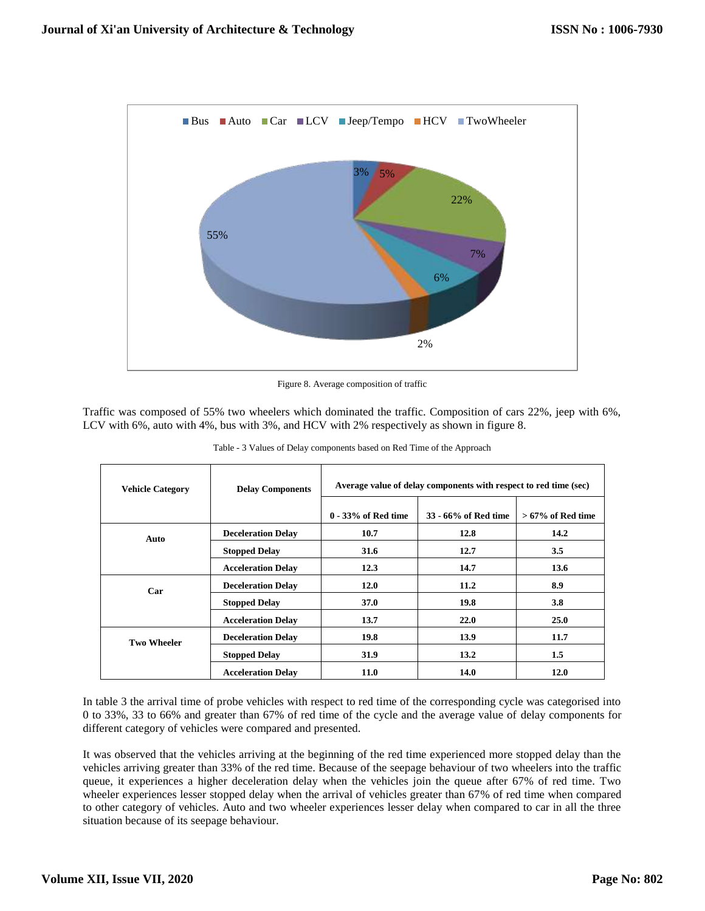

Figure 8. Average composition of traffic

Traffic was composed of 55% two wheelers which dominated the traffic. Composition of cars 22%, jeep with 6%, LCV with 6%, auto with 4%, bus with 3%, and HCV with 2% respectively as shown in figure 8.

| <b>Vehicle Category</b> | <b>Delay Components</b>   | Average value of delay components with respect to red time (sec) |                      |                     |  |  |
|-------------------------|---------------------------|------------------------------------------------------------------|----------------------|---------------------|--|--|
|                         |                           | $0 - 33\%$ of Red time                                           | 33 - 66% of Red time | $>67\%$ of Red time |  |  |
| Auto                    | <b>Deceleration Delay</b> | 10.7                                                             | 12.8                 | 14.2                |  |  |
|                         | <b>Stopped Delay</b>      | 31.6                                                             | 12.7                 | 3.5                 |  |  |
|                         | <b>Acceleration Delay</b> | 12.3                                                             | 14.7                 | 13.6                |  |  |
| Car                     | <b>Deceleration Delay</b> | <b>12.0</b>                                                      | 11.2                 | 8.9                 |  |  |
|                         | <b>Stopped Delay</b>      | <b>37.0</b>                                                      | 19.8                 | 3.8                 |  |  |
|                         | <b>Acceleration Delay</b> | 13.7                                                             | 22.0                 | 25.0                |  |  |
| <b>Two Wheeler</b>      | <b>Deceleration Delay</b> | 19.8                                                             | 13.9                 | 11.7                |  |  |
|                         | <b>Stopped Delay</b>      | 31.9                                                             | 13.2                 | 1.5                 |  |  |
|                         | <b>Acceleration Delay</b> | <b>11.0</b>                                                      | 14.0                 | 12.0                |  |  |

Table - 3 Values of Delay components based on Red Time of the Approach

In table 3 the arrival time of probe vehicles with respect to red time of the corresponding cycle was categorised into 0 to 33%, 33 to 66% and greater than 67% of red time of the cycle and the average value of delay components for different category of vehicles were compared and presented.

It was observed that the vehicles arriving at the beginning of the red time experienced more stopped delay than the vehicles arriving greater than 33% of the red time. Because of the seepage behaviour of two wheelers into the traffic queue, it experiences a higher deceleration delay when the vehicles join the queue after 67% of red time. Two wheeler experiences lesser stopped delay when the arrival of vehicles greater than 67% of red time when compared to other category of vehicles. Auto and two wheeler experiences lesser delay when compared to car in all the three situation because of its seepage behaviour.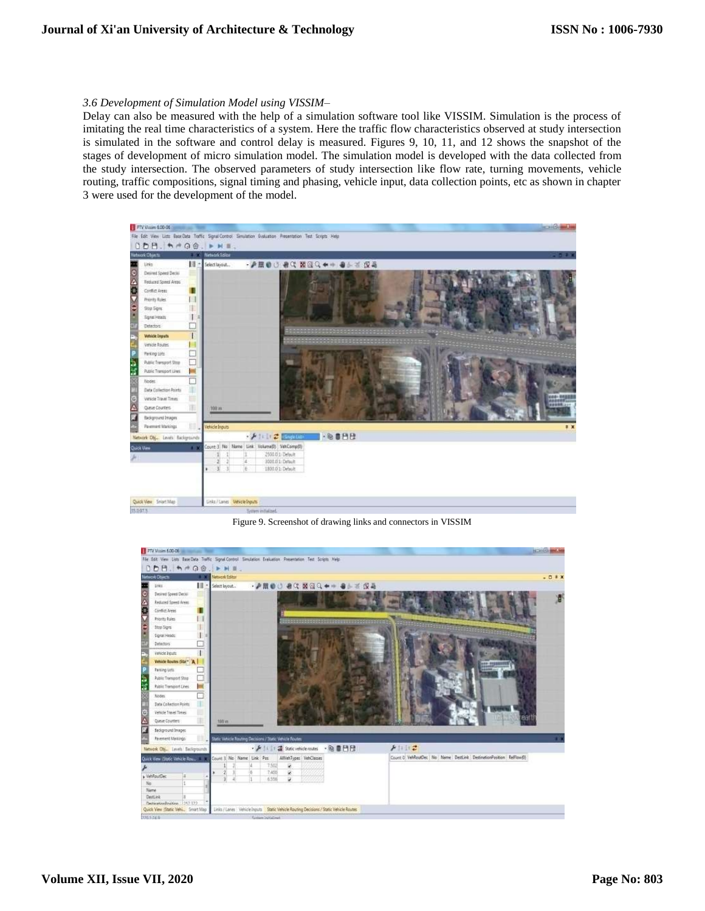#### *3.6 Development of Simulation Model using VISSIM–*

Delay can also be measured with the help of a simulation software tool like VISSIM. Simulation is the process of imitating the real time characteristics of a system. Here the traffic flow characteristics observed at study intersection is simulated in the software and control delay is measured. Figures 9, 10, 11, and 12 shows the snapshot of the stages of development of micro simulation model. The simulation model is developed with the data collected from the study intersection. The observed parameters of study intersection like flow rate, turning movements, vehicle routing, traffic compositions, signal timing and phasing, vehicle input, data collection points, etc as shown in chapter 3 were used for the development of the model.



Figure 9. Screenshot of drawing links and connectors in VISSIM

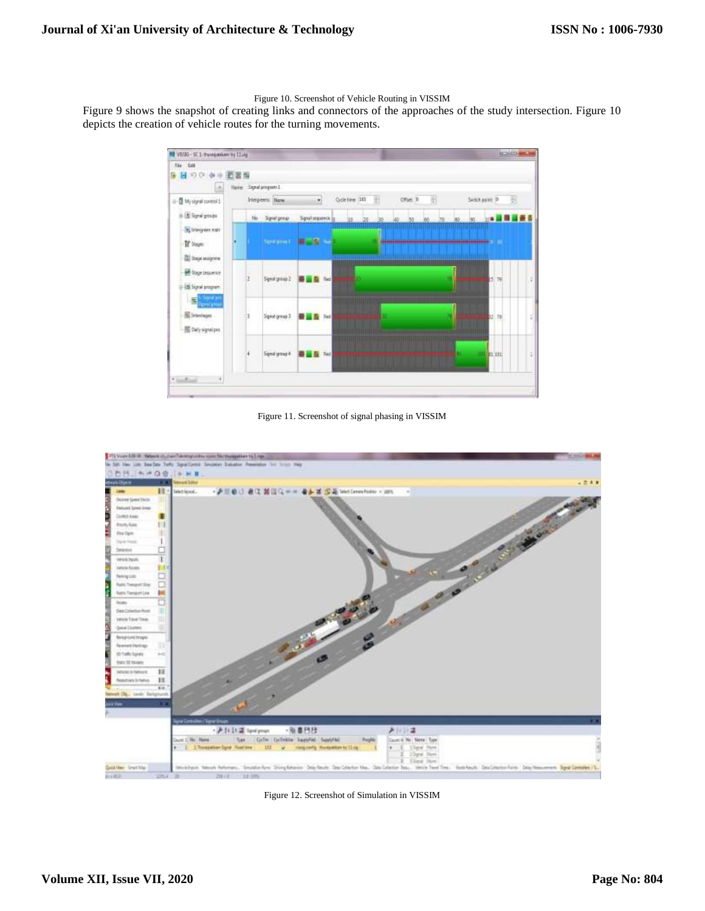Figure 10. Screenshot of Vehicle Routing in VISSIM

Figure 9 shows the snapshot of creating links and connectors of the approaches of the study intersection. Figure 10 depicts the creation of vehicle routes for the turning movements.



Figure 11. Screenshot of signal phasing in VISSIM



Figure 12. Screenshot of Simulation in VISSIM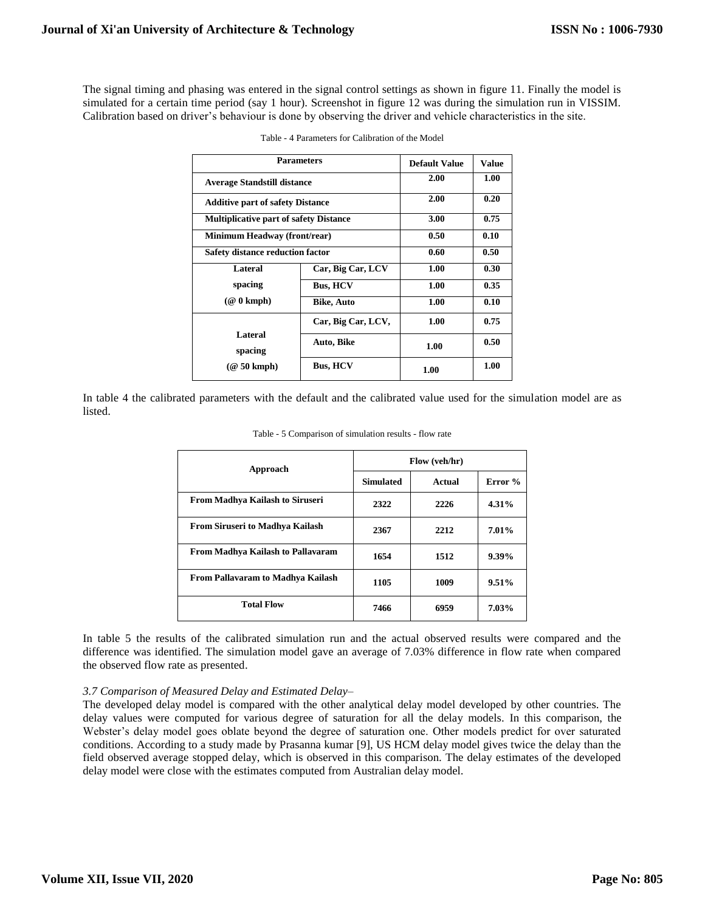The signal timing and phasing was entered in the signal control settings as shown in figure 11. Finally the model is simulated for a certain time period (say 1 hour). Screenshot in figure 12 was during the simulation run in VISSIM. Calibration based on driver's behaviour is done by observing the driver and vehicle characteristics in the site.

| <b>Parameters</b>                             | <b>Default Value</b> | Value |      |
|-----------------------------------------------|----------------------|-------|------|
| <b>Average Standstill distance</b>            | 2.00                 | 1.00  |      |
| <b>Additive part of safety Distance</b>       | 2.00                 | 0.20  |      |
| <b>Multiplicative part of safety Distance</b> | 3.00                 | 0.75  |      |
| Minimum Headway (front/rear)                  | 0.50                 | 0.10  |      |
| <b>Safety distance reduction factor</b>       | 0.60                 | 0.50  |      |
| Lateral                                       | Car, Big Car, LCV    | 1.00  | 0.30 |
| spacing                                       | <b>Bus, HCV</b>      | 1.00  | 0.35 |
| $(\mathcal{Q} 0 \text{ kmph})$                | <b>Bike, Auto</b>    | 1.00  | 0.10 |
|                                               | Car, Big Car, LCV,   | 1.00  | 0.75 |
| Lateral<br>spacing                            | Auto, Bike           | 1.00  | 0.50 |
| $(\textcircled{a} 50 \text{ kmph})$           | <b>Bus, HCV</b>      | 1.00  | 1.00 |

| Table - 4 Parameters for Calibration of the Model |  |  |  |  |
|---------------------------------------------------|--|--|--|--|
|---------------------------------------------------|--|--|--|--|

In table 4 the calibrated parameters with the default and the calibrated value used for the simulation model are as listed.

| Approach                                 | Flow (veh/hr)    |        |          |  |  |
|------------------------------------------|------------------|--------|----------|--|--|
|                                          | <b>Simulated</b> | Actual | Error %  |  |  |
| <b>From Madhya Kailash to Siruseri</b>   | 2322             | 2226   | 4.31%    |  |  |
| <b>From Siruseri to Madhya Kailash</b>   | 2367             | 2212   | 7.01%    |  |  |
| <b>From Madhya Kailash to Pallavaram</b> | 1654             | 1512   | $9.39\%$ |  |  |
| <b>From Pallavaram to Madhya Kailash</b> | 1105             | 1009   | 9.51%    |  |  |
| <b>Total Flow</b>                        | 7466             | 6959   | 7.03%    |  |  |

Table - 5 Comparison of simulation results - flow rate

In table 5 the results of the calibrated simulation run and the actual observed results were compared and the difference was identified. The simulation model gave an average of 7.03% difference in flow rate when compared the observed flow rate as presented.

## *3.7 Comparison of Measured Delay and Estimated Delay–*

The developed delay model is compared with the other analytical delay model developed by other countries. The delay values were computed for various degree of saturation for all the delay models. In this comparison, the Webster's delay model goes oblate beyond the degree of saturation one. Other models predict for over saturated conditions. According to a study made by Prasanna kumar [9], US HCM delay model gives twice the delay than the field observed average stopped delay, which is observed in this comparison. The delay estimates of the developed delay model were close with the estimates computed from Australian delay model.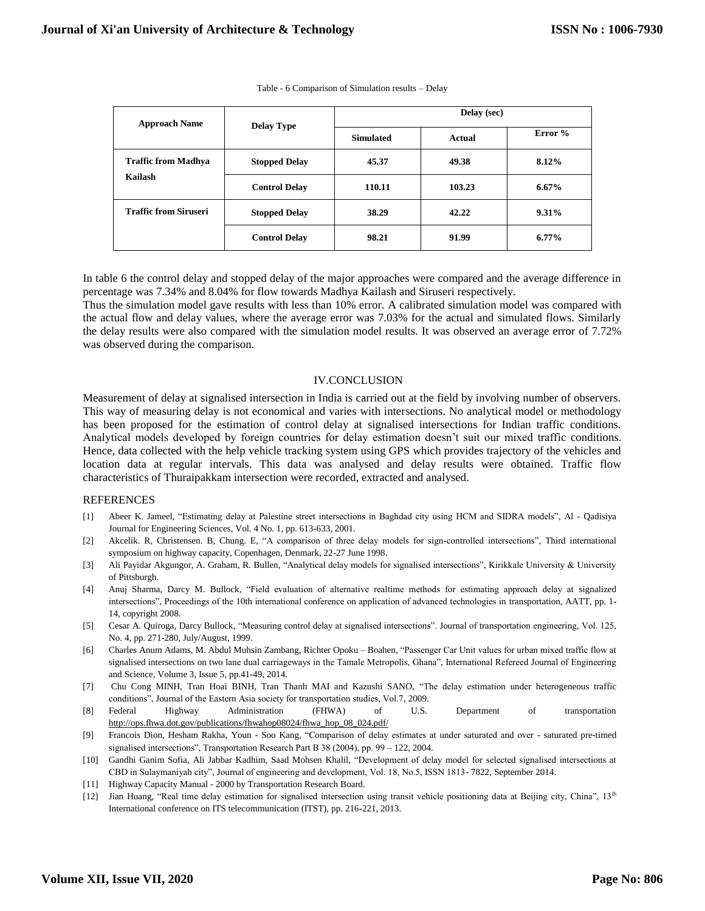| <b>Approach Name</b>         | <b>Delay Type</b>    | Delay (sec)      |        |           |  |  |
|------------------------------|----------------------|------------------|--------|-----------|--|--|
|                              |                      | <b>Simulated</b> | Actual | Error $%$ |  |  |
| <b>Traffic from Madhya</b>   | <b>Stopped Delay</b> | 45.37            | 49.38  | 8.12%     |  |  |
| Kailash                      | <b>Control Delay</b> | 110.11           | 103.23 | $6.67\%$  |  |  |
| <b>Traffic from Siruseri</b> | <b>Stopped Delay</b> | 38.29            | 42.22  | $9.31\%$  |  |  |
|                              | <b>Control Delay</b> | 98.21            | 91.99  | $6.77\%$  |  |  |

Table - 6 Comparison of Simulation results – Delay

In table 6 the control delay and stopped delay of the major approaches were compared and the average difference in percentage was 7.34% and 8.04% for flow towards Madhya Kailash and Siruseri respectively.

Thus the simulation model gave results with less than 10% error. A calibrated simulation model was compared with the actual flow and delay values, where the average error was 7.03% for the actual and simulated flows. Similarly the delay results were also compared with the simulation model results. It was observed an average error of 7.72% was observed during the comparison.

## IV.CONCLUSION

Measurement of delay at signalised intersection in India is carried out at the field by involving number of observers. This way of measuring delay is not economical and varies with intersections. No analytical model or methodology has been proposed for the estimation of control delay at signalised intersections for Indian traffic conditions. Analytical models developed by foreign countries for delay estimation doesn't suit our mixed traffic conditions. Hence, data collected with the help vehicle tracking system using GPS which provides trajectory of the vehicles and location data at regular intervals. This data was analysed and delay results were obtained. Traffic flow characteristics of Thuraipakkam intersection were recorded, extracted and analysed.

## REFERENCES

- [1] Abeer K. Jameel, "Estimating delay at Palestine street intersections in Baghdad city using HCM and SIDRA models", Al Qadisiya Journal for Engineering Sciences, Vol. 4 No. 1, pp. 613-633, 2001.
- [2] Akcelik. R, Christensen. B, Chung. E, "A comparison of three delay models for sign-controlled intersections", Third international symposium on highway capacity, Copenhagen, Denmark, 22-27 June 1998.
- [3] Ali Payidar Akgungor, A. Graham, R. Bullen, "Analytical delay models for signalised intersections", Kirikkale University & University of Pittsburgh.
- [4] Anuj Sharma, Darcy M. Bullock, "Field evaluation of alternative realtime methods for estimating approach delay at signalized intersections", Proceedings of the 10th international conference on application of advanced technologies in transportation, AATT, pp. 1- 14, copyright 2008.
- [5] Cesar A. Quiroga, Darcy Bullock, "Measuring control delay at signalised intersections". Journal of transportation engineering, Vol. 125, No. 4, pp. 271-280, July/August, 1999.
- [6] Charles Anum Adams, M. Abdul Muhsin Zambang, Richter Opoku Boahen, "Passenger Car Unit values for urban mixed traffic flow at signalised intersections on two lane dual carriageways in the Tamale Metropolis, Ghana", International Refereed Journal of Engineering and Science, Volume 3, Issue 5, pp.41-49, 2014.
- [7] Chu Cong MINH, Tran Hoai BINH, Tran Thanh MAI and Kazushi SANO, "The delay estimation under heterogeneous traffic conditions", Journal of the Eastern Asia society for transportation studies, Vol.7, 2009.
- [8] Federal Highway Administration (FHWA) of U.S. Department of transportation [http://ops.fhwa.dot.gov/publications/fhwahop08024/fhwa\\_hop\\_08\\_024.pdf/](http://ops.fhwa.dot.gov/publications/fhwahop08024/fhwa_hop_08_024.pdf/)
- [9] Francois Dion, Hesham Rakha, Youn Soo Kang, "Comparison of delay estimates at under saturated and over saturated pre-timed signalised intersections", Transportation Research Part B 38 (2004), pp. 99 – 122, 2004.
- [10] Gandhi Ganim Sofia, Ali Jabbar Kadhim, Saad Mohsen Khalil, "Development of delay model for selected signalised intersections at CBD in Sulaymaniyah city", Journal of engineering and development, Vol. 18, No.5, ISSN 1813- 7822, September 2014.
- [11] Highway Capacity Manual 2000 by Transportation Research Board.
- [12] Jian Huang, "Real time delay estimation for signalised intersection using transit vehicle positioning data at Beijing city, China", 13<sup>th</sup> International conference on ITS telecommunication (ITST), pp. 216-221, 2013.